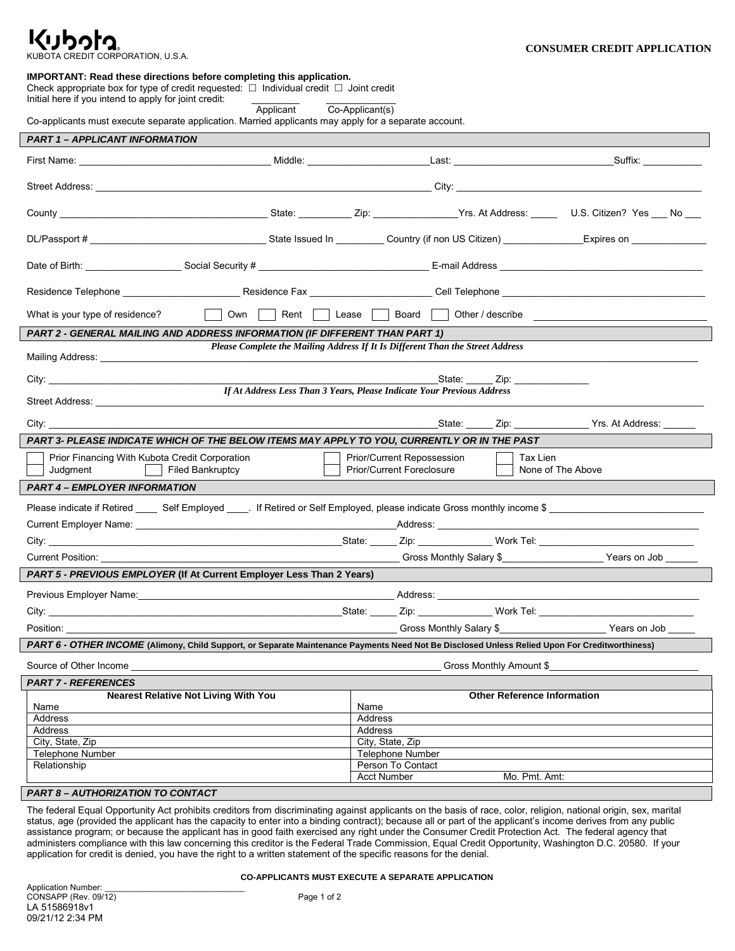## Kubota KUBOTA CREDIT CORPORATION, U.S.A.

# **IMPORTANT: Read these directions before completing this application.**

Check appropriate box for type of credit requested:  $\Box$  Individual credit  $\Box$  Joint credit

Initial here if you intend to apply for joint credit: <br>Applicant Co-Applicant(s)

Co-applicants must execute separate application. Married applicants may apply for a separate account.

| <b>PART 1 - APPLICANT INFORMATION</b>                                                                                                                                               |                                                                                                                      |                                       |                                                               |
|-------------------------------------------------------------------------------------------------------------------------------------------------------------------------------------|----------------------------------------------------------------------------------------------------------------------|---------------------------------------|---------------------------------------------------------------|
|                                                                                                                                                                                     |                                                                                                                      |                                       |                                                               |
|                                                                                                                                                                                     |                                                                                                                      |                                       |                                                               |
|                                                                                                                                                                                     |                                                                                                                      |                                       |                                                               |
|                                                                                                                                                                                     |                                                                                                                      |                                       |                                                               |
|                                                                                                                                                                                     |                                                                                                                      |                                       |                                                               |
|                                                                                                                                                                                     |                                                                                                                      |                                       |                                                               |
|                                                                                                                                                                                     |                                                                                                                      |                                       |                                                               |
|                                                                                                                                                                                     |                                                                                                                      |                                       |                                                               |
|                                                                                                                                                                                     |                                                                                                                      |                                       |                                                               |
| What is your type of residence?                                                                                                                                                     | $\mathbf{I} = \mathbf{I}$                                                                                            | Own Rent Lease Board Other / describe |                                                               |
| PART 2 - GENERAL MAILING AND ADDRESS INFORMATION (IF DIFFERENT THAN PART 1)                                                                                                         |                                                                                                                      |                                       |                                                               |
| Please Complete the Mailing Address If It Is Different Than the Street Address<br>Mailing Address: Mailing Address:                                                                 |                                                                                                                      |                                       |                                                               |
|                                                                                                                                                                                     |                                                                                                                      |                                       |                                                               |
| State: _____ Zip: ____________<br>If At Address Less Than 3 Years, Please Indicate Your Previous Address                                                                            |                                                                                                                      |                                       |                                                               |
|                                                                                                                                                                                     |                                                                                                                      |                                       |                                                               |
| City:                                                                                                                                                                               | <u> 1989 - Johann Barbara, markazi bashkar mashrida ma'lumot oli boʻlgan boʻlgan boʻlgan boʻlgan boʻlgan boʻlgan</u> |                                       | _State: ______ Zip: _________________ Yrs. At Address: ______ |
| PART 3- PLEASE INDICATE WHICH OF THE BELOW ITEMS MAY APPLY TO YOU, CURRENTLY OR IN THE PAST                                                                                         |                                                                                                                      |                                       |                                                               |
| Prior/Current Repossession<br>Prior Financing With Kubota Credit Corporation<br>Tax Lien<br>None of The Above<br><b>Prior/Current Foreclosure</b><br>Judgment<br>  Filed Bankruptcy |                                                                                                                      |                                       |                                                               |
| <b>PART 4 - EMPLOYER INFORMATION</b>                                                                                                                                                |                                                                                                                      |                                       |                                                               |
|                                                                                                                                                                                     |                                                                                                                      |                                       |                                                               |
|                                                                                                                                                                                     |                                                                                                                      |                                       |                                                               |
|                                                                                                                                                                                     |                                                                                                                      |                                       |                                                               |
|                                                                                                                                                                                     |                                                                                                                      |                                       |                                                               |
| <b>PART 5 - PREVIOUS EMPLOYER (If At Current Employer Less Than 2 Years)</b>                                                                                                        |                                                                                                                      |                                       |                                                               |
| Previous Employer Name: <u>Communication and Communication and Address:</u> Address: <u>Communication and Communication</u>                                                         |                                                                                                                      |                                       |                                                               |
|                                                                                                                                                                                     |                                                                                                                      |                                       |                                                               |
| Position: <b>Example</b>                                                                                                                                                            |                                                                                                                      |                                       |                                                               |
| PART 6 - OTHER INCOME (Alimony, Child Support, or Separate Maintenance Payments Need Not Be Disclosed Unless Relied Upon For Creditworthiness)                                      |                                                                                                                      |                                       |                                                               |
|                                                                                                                                                                                     |                                                                                                                      |                                       |                                                               |
| Source of Other Income<br>______________ Gross Monthly Amount \$__<br><b>PART 7 - REFERENCES</b>                                                                                    |                                                                                                                      |                                       |                                                               |
| <b>Nearest Relative Not Living With You</b><br><b>Other Reference Information</b>                                                                                                   |                                                                                                                      |                                       |                                                               |
| Name                                                                                                                                                                                |                                                                                                                      | Name                                  |                                                               |
| Address                                                                                                                                                                             |                                                                                                                      | Address                               |                                                               |
| <b>Address</b><br>City, State, Zip                                                                                                                                                  |                                                                                                                      | Address<br>City, State, Zip           |                                                               |
| <b>Telephone Number</b>                                                                                                                                                             |                                                                                                                      | Telephone Number                      |                                                               |
| Relationship                                                                                                                                                                        |                                                                                                                      | Person To Contact                     |                                                               |
|                                                                                                                                                                                     |                                                                                                                      | <b>Acct Number</b>                    | Mo. Pmt. Amt:                                                 |
| <b>PART 8 – AUTHORIZATION TO CONTACT</b>                                                                                                                                            |                                                                                                                      |                                       |                                                               |
| The federal Equal Opportunity Act probibite exalitare from discriminating equiport epplicante on the boois of rose, ealer religion, potional erigin, easy marital                   |                                                                                                                      |                                       |                                                               |

iederal Equal Opportunity Act prohibits creditors from discriminating against applicants on the basis of race, color, religion, national origin, sex, marital status, age (provided the applicant has the capacity to enter into a binding contract); because all or part of the applicant's income derives from any public assistance program; or because the applicant has in good faith exercised any right under the Consumer Credit Protection Act. The federal agency that administers compliance with this law concerning this creditor is the Federal Trade Commission, Equal Credit Opportunity, Washington D.C. 20580. If your application for credit is denied, you have the right to a written statement of the specific reasons for the denial.

### **CO-APPLICANTS MUST EXECUTE A SEPARATE APPLICATION**